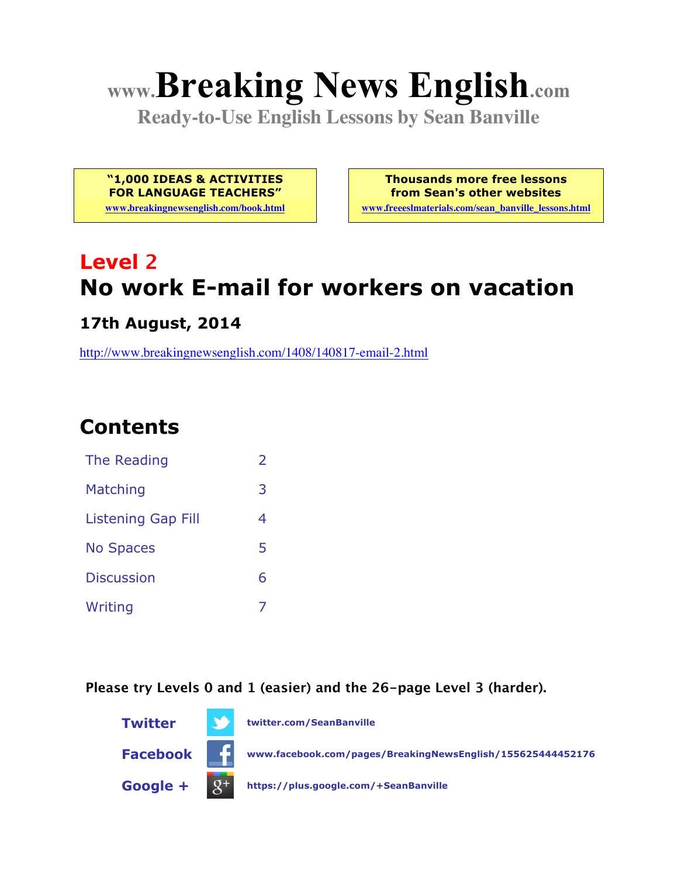# **www.Breaking News English.com**

**Ready-to-Use English Lessons by Sean Banville**

**"1,000 IDEAS & ACTIVITIES FOR LANGUAGE TEACHERS"**

**www.breakingnewsenglish.com/book.html**

**Thousands more free lessons from Sean's other websites www.freeeslmaterials.com/sean\_banville\_lessons.html**

# **Level 2 No work E-mail for workers on vacation**

**17th August, 2014**

http://www.breakingnewsenglish.com/1408/140817-email-2.html

# **Contents**

| The Reading               | フ |
|---------------------------|---|
| Matching                  | 3 |
| <b>Listening Gap Fill</b> | 4 |
| <b>No Spaces</b>          | 5 |
| <b>Discussion</b>         | 6 |
| Writing                   |   |

**Please try Levels 0 and 1 (easier) and the 26-page Level 3 (harder).**

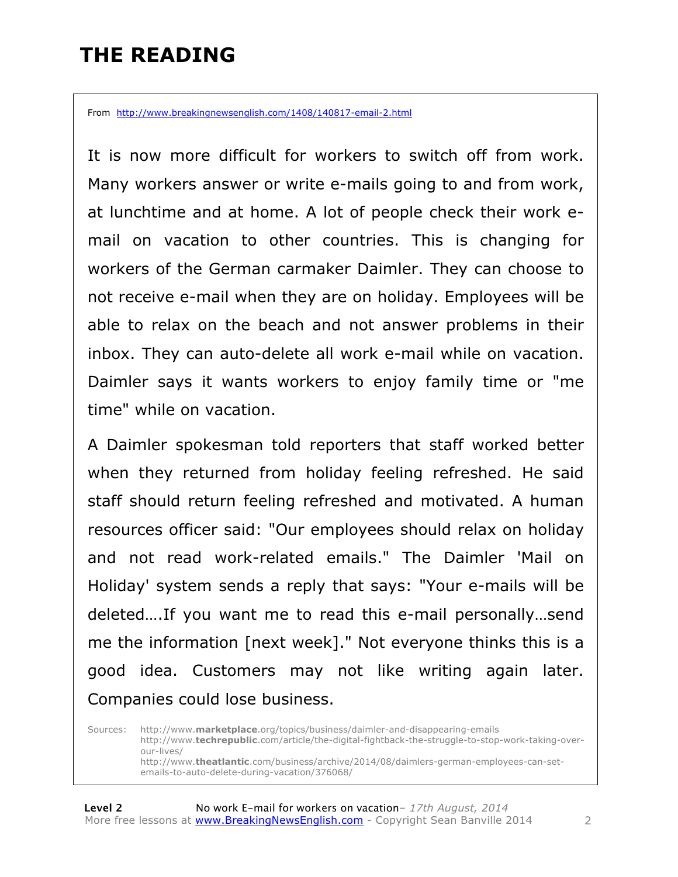# **THE READING**

From http://www.breakingnewsenglish.com/1408/140817-email-2.html

It is now more difficult for workers to switch off from work. Many workers answer or write e-mails going to and from work, at lunchtime and at home. A lot of people check their work email on vacation to other countries. This is changing for workers of the German carmaker Daimler. They can choose to not receive e-mail when they are on holiday. Employees will be able to relax on the beach and not answer problems in their inbox. They can auto-delete all work e-mail while on vacation. Daimler says it wants workers to enjoy family time or "me time" while on vacation.

A Daimler spokesman told reporters that staff worked better when they returned from holiday feeling refreshed. He said staff should return feeling refreshed and motivated. A human resources officer said: "Our employees should relax on holiday and not read work-related emails." The Daimler 'Mail on Holiday' system sends a reply that says: "Your e-mails will be deleted….If you want me to read this e-mail personally…send me the information [next week]." Not everyone thinks this is a good idea. Customers may not like writing again later. Companies could lose business.

Sources: http://www.**marketplace**.org/topics/business/daimler-and-disappearing-emails http://www.**techrepublic**.com/article/the-digital-fightback-the-struggle-to-stop-work-taking-overour-lives/ http://www.**theatlantic**.com/business/archive/2014/08/daimlers-german-employees-can-setemails-to-auto-delete-during-vacation/376068/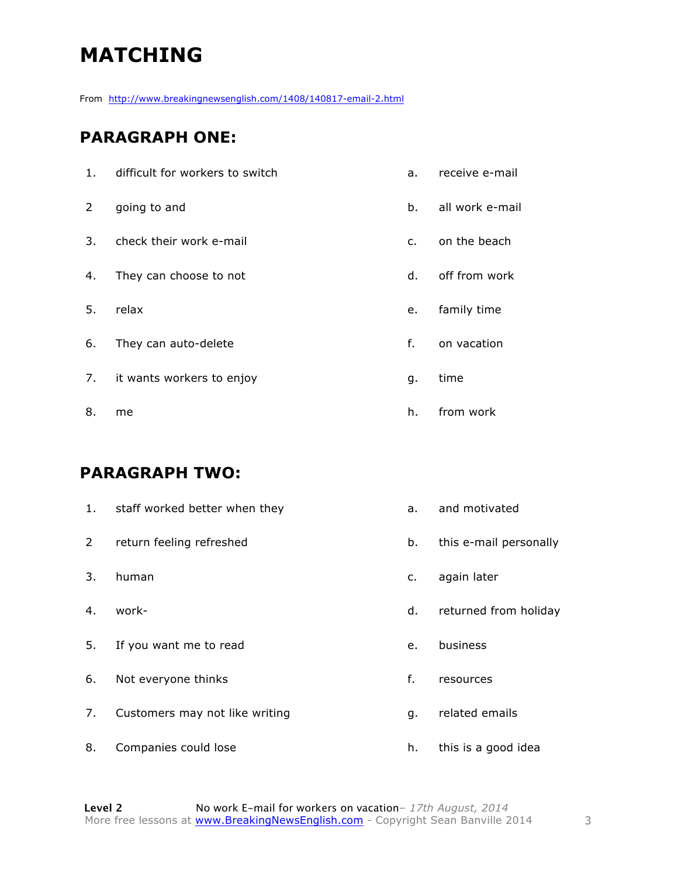# **MATCHING**

From http://www.breakingnewsenglish.com/1408/140817-email-2.html

#### **PARAGRAPH ONE:**

| 1. | difficult for workers to switch | a.             | receive e-mail  |
|----|---------------------------------|----------------|-----------------|
| 2  | going to and                    | b.             | all work e-mail |
| 3. | check their work e-mail         | $\mathsf{C}$ . | on the beach    |
| 4. | They can choose to not          | d.             | off from work   |
| 5. | relax                           | e.             | family time     |
| 6. | They can auto-delete            | f.             | on vacation     |
| 7. | it wants workers to enjoy       | g.             | time            |
| 8. | me                              | h.             | from work       |

#### **PARAGRAPH TWO:**

| 1.          | staff worked better when they  | a. | and motivated          |
|-------------|--------------------------------|----|------------------------|
| $2^{\circ}$ | return feeling refreshed       | b. | this e-mail personally |
| 3.          | human                          | c. | again later            |
| 4.          | work-                          | d. | returned from holiday  |
| 5.          | If you want me to read         | e. | business               |
| 6.          | Not everyone thinks            | f. | resources              |
| 7.          | Customers may not like writing | q. | related emails         |
| 8.          | Companies could lose           | h. | this is a good idea    |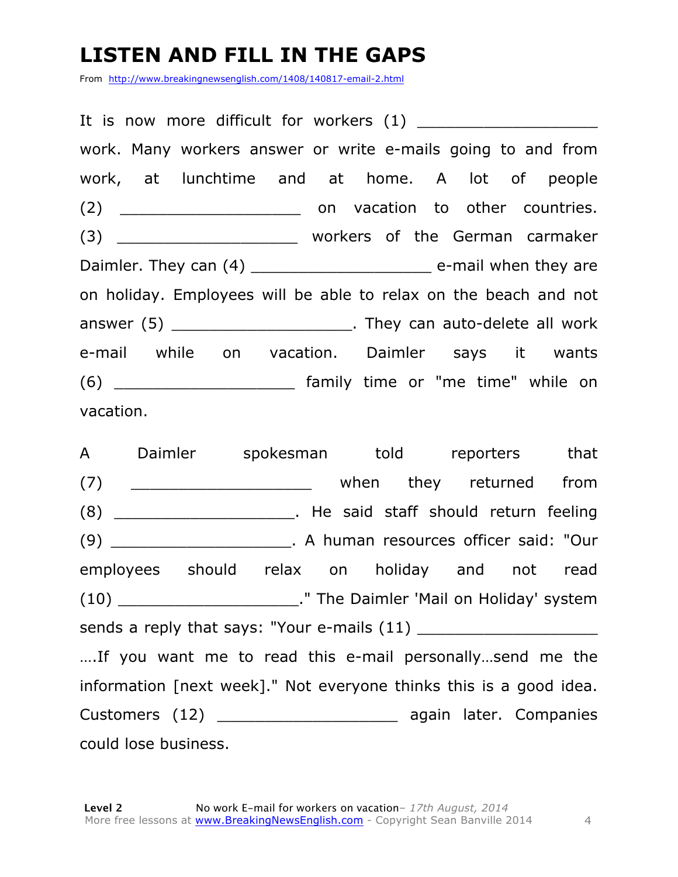# **LISTEN AND FILL IN THE GAPS**

From http://www.breakingnewsenglish.com/1408/140817-email-2.html

| work. Many workers answer or write e-mails going to and from                  |  |  |  |
|-------------------------------------------------------------------------------|--|--|--|
| work, at lunchtime and at home. A lot of people                               |  |  |  |
|                                                                               |  |  |  |
| (3) ___________________________ workers of the German carmaker                |  |  |  |
| Daimler. They can (4) __________________________________ e-mail when they are |  |  |  |
| on holiday. Employees will be able to relax on the beach and not              |  |  |  |
| answer (5) _______________________. They can auto-delete all work             |  |  |  |
| e-mail while on vacation. Daimler says it wants                               |  |  |  |
|                                                                               |  |  |  |
| vacation.                                                                     |  |  |  |

A Daimler spokesman told reporters that (7) \_\_\_\_\_\_\_\_\_\_\_\_\_\_\_\_\_\_\_\_\_\_\_\_ when they returned from (8) The said staff should return feeling (9) \_\_\_\_\_\_\_\_\_\_\_\_\_\_\_\_\_\_\_. A human resources officer said: "Our employees should relax on holiday and not read (10) \_\_\_\_\_\_\_\_\_\_\_\_\_\_\_\_\_\_\_." The Daimler 'Mail on Holiday' system sends a reply that says: "Your e-mails (11) \_\_\_\_\_\_\_\_\_\_\_\_\_\_\_\_\_\_\_ ….If you want me to read this e-mail personally…send me the information [next week]." Not everyone thinks this is a good idea. Customers (12) \_\_\_\_\_\_\_\_\_\_\_\_\_\_\_\_\_\_\_ again later. Companies could lose business.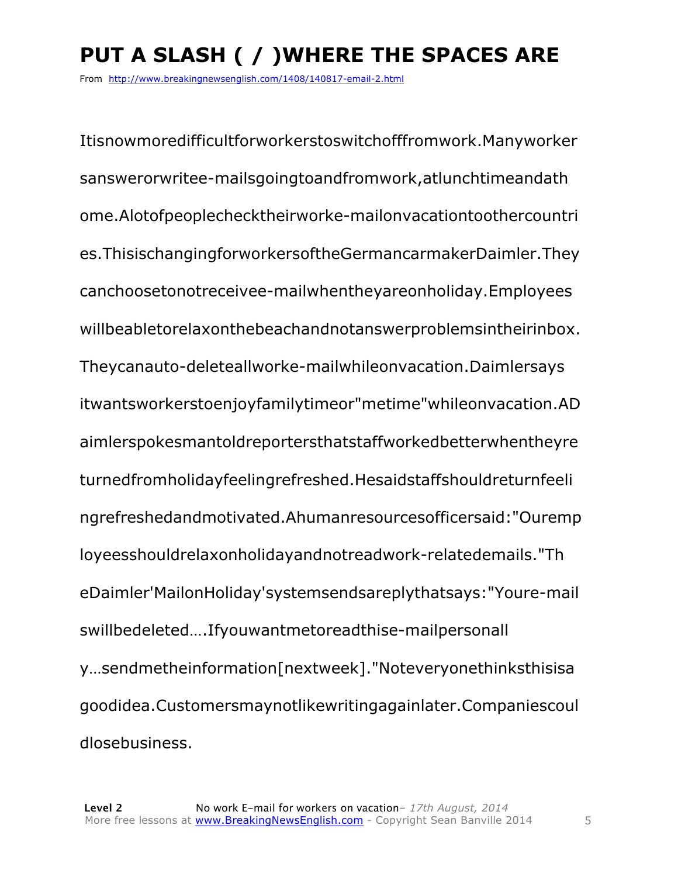# **PUT A SLASH ( / )WHERE THE SPACES ARE**

From http://www.breakingnewsenglish.com/1408/140817-email-2.html

Itisnowmoredifficultforworkerstoswitchofffromwork.Manyworker sanswerorwritee-mailsgoingtoandfromwork,atlunchtimeandath ome.Alotofpeoplechecktheirworke-mailonvacationtoothercountri es.ThisischangingforworkersoftheGermancarmakerDaimler.They canchoosetonotreceivee-mailwhentheyareonholiday.Employees willbeabletorelaxonthebeachandnotanswerproblemsintheirinbox. Theycanauto-deleteallworke-mailwhileonvacation.Daimlersays itwantsworkerstoenjoyfamilytimeor"metime"whileonvacation.AD aimlerspokesmantoldreportersthatstaffworkedbetterwhentheyre turnedfromholidayfeelingrefreshed.Hesaidstaffshouldreturnfeeli ngrefreshedandmotivated.Ahumanresourcesofficersaid:"Ouremp loyeesshouldrelaxonholidayandnotreadwork-relatedemails."Th eDaimler'MailonHoliday'systemsendsareplythatsays:"Youre-mail swillbedeleted….Ifyouwantmetoreadthise-mailpersonall y…sendmetheinformation[nextweek]."Noteveryonethinksthisisa goodidea.Customersmaynotlikewritingagainlater.Companiescoul dlosebusiness.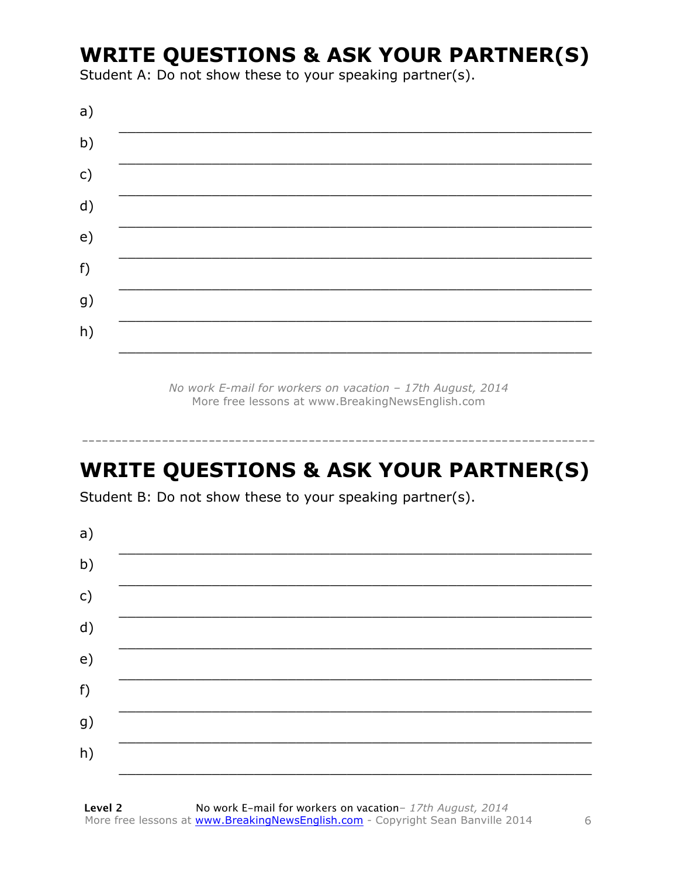### **WRITE QUESTIONS & ASK YOUR PARTNER(S)**

Student A: Do not show these to your speaking partner(s).

| a)            |  |  |
|---------------|--|--|
| b)            |  |  |
| $\mathsf{c})$ |  |  |
| d)            |  |  |
| e)            |  |  |
| f)            |  |  |
| g)            |  |  |
| h)            |  |  |
|               |  |  |

No work E-mail for workers on vacation - 17th August, 2014 More free lessons at www.BreakingNewsEnglish.com

# **WRITE QUESTIONS & ASK YOUR PARTNER(S)**

Student B: Do not show these to your speaking partner(s).